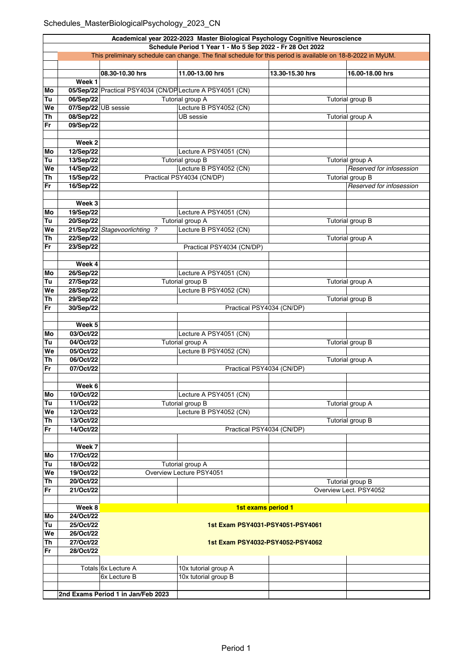| Academical year 2022-2023 Master Biological Psychology Cognitive Neuroscience |                                                                                                                                                                          |                                                           |                                            |                 |                          |  |  |  |
|-------------------------------------------------------------------------------|--------------------------------------------------------------------------------------------------------------------------------------------------------------------------|-----------------------------------------------------------|--------------------------------------------|-----------------|--------------------------|--|--|--|
|                                                                               | Schedule Period 1 Year 1 - Mo 5 Sep 2022 - Fr 28 Oct 2022<br>This preliminary schedule can change. The final schedule for this period is available on 18-8-2022 in MyUM. |                                                           |                                            |                 |                          |  |  |  |
|                                                                               |                                                                                                                                                                          |                                                           |                                            |                 |                          |  |  |  |
|                                                                               |                                                                                                                                                                          |                                                           |                                            |                 |                          |  |  |  |
|                                                                               |                                                                                                                                                                          | 08.30-10.30 hrs                                           | 11.00-13.00 hrs                            | 13.30-15.30 hrs | 16.00-18.00 hrs          |  |  |  |
| Mo                                                                            | Week 1                                                                                                                                                                   | 05/Sep/22 Practical PSY4034 (CN/DP Lecture A PSY4051 (CN) |                                            |                 |                          |  |  |  |
| Tu                                                                            | 06/Sep/22                                                                                                                                                                |                                                           | Tutorial group A                           |                 |                          |  |  |  |
| We                                                                            |                                                                                                                                                                          | 07/Sep/22 UB sessie                                       | Lecture B PSY4052 (CN)                     |                 | Tutorial group B         |  |  |  |
| <b>Th</b>                                                                     | 08/Sep/22                                                                                                                                                                |                                                           | <b>UB</b> sessie                           |                 | Tutorial group A         |  |  |  |
| <b>Fr</b>                                                                     | 09/Sep/22                                                                                                                                                                |                                                           |                                            |                 |                          |  |  |  |
|                                                                               |                                                                                                                                                                          |                                                           |                                            |                 |                          |  |  |  |
|                                                                               | Week <sub>2</sub>                                                                                                                                                        |                                                           |                                            |                 |                          |  |  |  |
| Mo                                                                            | 12/Sep/22                                                                                                                                                                |                                                           | Lecture A PSY4051 (CN)                     |                 |                          |  |  |  |
| Tu                                                                            | 13/Sep/22                                                                                                                                                                |                                                           | Tutorial group B                           |                 | Tutorial group A         |  |  |  |
| We                                                                            | 14/Sep/22                                                                                                                                                                |                                                           | Lecture B PSY4052 (CN)                     |                 | Reserved for infosession |  |  |  |
| Th                                                                            | 15/Sep/22                                                                                                                                                                |                                                           | Practical PSY4034 (CN/DP)                  |                 | Tutorial group B         |  |  |  |
| Fr                                                                            | 16/Sep/22                                                                                                                                                                |                                                           |                                            |                 | Reserved for infosession |  |  |  |
|                                                                               |                                                                                                                                                                          |                                                           |                                            |                 |                          |  |  |  |
|                                                                               | Week 3                                                                                                                                                                   |                                                           |                                            |                 |                          |  |  |  |
| Mo                                                                            | 19/Sep/22                                                                                                                                                                |                                                           | Lecture A PSY4051 (CN)                     |                 |                          |  |  |  |
| Tu                                                                            | 20/Sep/22                                                                                                                                                                |                                                           | Tutorial group A                           |                 | <b>Tutorial group B</b>  |  |  |  |
| We                                                                            |                                                                                                                                                                          | 21/Sep/22 Stagevoorlichting ?                             | Lecture B PSY4052 (CN)                     |                 |                          |  |  |  |
| Th                                                                            | 22/Sep/22                                                                                                                                                                |                                                           |                                            |                 | <b>Tutorial group A</b>  |  |  |  |
| Fr                                                                            | 23/Sep/22                                                                                                                                                                |                                                           | Practical PSY4034 (CN/DP)                  |                 |                          |  |  |  |
|                                                                               |                                                                                                                                                                          |                                                           |                                            |                 |                          |  |  |  |
|                                                                               | Week 4                                                                                                                                                                   |                                                           |                                            |                 |                          |  |  |  |
| Mo<br>Tu                                                                      | 26/Sep/22<br>27/Sep/22                                                                                                                                                   |                                                           | Lecture A PSY4051 (CN)<br>Tutorial group B |                 | Tutorial group A         |  |  |  |
| We                                                                            | 28/Sep/22                                                                                                                                                                |                                                           | Lecture B PSY4052 (CN)                     |                 |                          |  |  |  |
| Th                                                                            | 29/Sep/22                                                                                                                                                                |                                                           |                                            |                 | Tutorial group B         |  |  |  |
| Fr                                                                            | 30/Sep/22                                                                                                                                                                |                                                           | Practical PSY4034 (CN/DP)                  |                 |                          |  |  |  |
|                                                                               |                                                                                                                                                                          |                                                           |                                            |                 |                          |  |  |  |
|                                                                               | Week 5                                                                                                                                                                   |                                                           |                                            |                 |                          |  |  |  |
| Mo                                                                            | 03/Oct/22                                                                                                                                                                |                                                           | Lecture A PSY4051 (CN)                     |                 |                          |  |  |  |
| Tu                                                                            | 04/Oct/22                                                                                                                                                                |                                                           | Tutorial group A                           |                 | Tutorial group B         |  |  |  |
| We                                                                            | 05/Oct/22                                                                                                                                                                |                                                           | Lecture B PSY4052 (CN)                     |                 |                          |  |  |  |
| Th                                                                            | 06/Oct/22                                                                                                                                                                |                                                           |                                            |                 | Tutorial group A         |  |  |  |
| <b>Fr</b>                                                                     | 07/Oct/22                                                                                                                                                                | Practical PSY4034 (CN/DP)                                 |                                            |                 |                          |  |  |  |
|                                                                               |                                                                                                                                                                          |                                                           |                                            |                 |                          |  |  |  |
|                                                                               | Week 6                                                                                                                                                                   |                                                           |                                            |                 |                          |  |  |  |
| Mo                                                                            | 10/Oct/22                                                                                                                                                                |                                                           | Lecture A PSY4051 (CN)                     |                 |                          |  |  |  |
| Tu                                                                            | 11/Oct/22                                                                                                                                                                |                                                           | Tutorial group B                           |                 | Tutorial group A         |  |  |  |
| We                                                                            | 12/Oct/22                                                                                                                                                                |                                                           | Lecture B PSY4052 (CN)                     |                 |                          |  |  |  |
| Th                                                                            | 13/Oct/22                                                                                                                                                                |                                                           |                                            |                 | Tutorial group B         |  |  |  |
| Fr                                                                            | 14/Oct/22                                                                                                                                                                |                                                           | Practical PSY4034 (CN/DP)                  |                 |                          |  |  |  |
|                                                                               | Week 7                                                                                                                                                                   |                                                           |                                            |                 |                          |  |  |  |
| Мo                                                                            | 17/Oct/22                                                                                                                                                                |                                                           |                                            |                 |                          |  |  |  |
| Tu                                                                            | 18/Oct/22                                                                                                                                                                |                                                           |                                            |                 |                          |  |  |  |
| We                                                                            | 19/Oct/22                                                                                                                                                                | Tutorial group A<br>Overview Lecture PSY4051              |                                            |                 |                          |  |  |  |
| Th                                                                            | 20/Oct/22                                                                                                                                                                |                                                           |                                            |                 | Tutorial group B         |  |  |  |
| Fr                                                                            | 21/Oct/22                                                                                                                                                                |                                                           |                                            |                 | Overview Lect. PSY4052   |  |  |  |
|                                                                               |                                                                                                                                                                          |                                                           |                                            |                 |                          |  |  |  |
|                                                                               | Week 8                                                                                                                                                                   |                                                           | 1st exams period 1                         |                 |                          |  |  |  |
| Mo                                                                            | 24/Oct/22                                                                                                                                                                |                                                           |                                            |                 |                          |  |  |  |
| Tu                                                                            | 25/Oct/22                                                                                                                                                                |                                                           | 1st Exam PSY4031-PSY4051-PSY4061           |                 |                          |  |  |  |
| We                                                                            | 26/Oct/22                                                                                                                                                                |                                                           |                                            |                 |                          |  |  |  |
| Th                                                                            | 27/Oct/22                                                                                                                                                                | 1st Exam PSY4032-PSY4052-PSY4062                          |                                            |                 |                          |  |  |  |
| Fr                                                                            | 28/Oct/22                                                                                                                                                                |                                                           |                                            |                 |                          |  |  |  |
|                                                                               |                                                                                                                                                                          |                                                           |                                            |                 |                          |  |  |  |
|                                                                               |                                                                                                                                                                          | Totals 6x Lecture A                                       | 10x tutorial group A                       |                 |                          |  |  |  |
|                                                                               |                                                                                                                                                                          | 6x Lecture B                                              | 10x tutorial group B                       |                 |                          |  |  |  |
|                                                                               |                                                                                                                                                                          |                                                           |                                            |                 |                          |  |  |  |
|                                                                               |                                                                                                                                                                          | 2nd Exams Period 1 in Jan/Feb 2023                        |                                            |                 |                          |  |  |  |